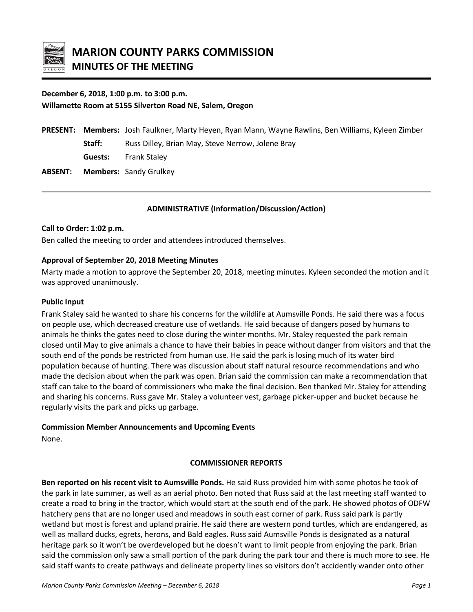

# **December 6, 2018, 1:00 p.m. to 3:00 p.m. Willamette Room at 5155 Silverton Road NE, Salem, Oregon**

|         | <b>PRESENT:</b> Members: Josh Faulkner, Marty Heyen, Ryan Mann, Wayne Rawlins, Ben Williams, Kyleen Zimber |
|---------|------------------------------------------------------------------------------------------------------------|
| Staff:  | Russ Dilley, Brian May, Steve Nerrow, Jolene Bray                                                          |
| Guests: | <b>Frank Staley</b>                                                                                        |
|         | <b>ABSENT:</b> Members: Sandy Grulkey                                                                      |
|         |                                                                                                            |

# **ADMINISTRATIVE (Information/Discussion/Action)**

#### **Call to Order: 1:02 p.m.**

Ben called the meeting to order and attendees introduced themselves.

#### **Approval of September 20, 2018 Meeting Minutes**

Marty made a motion to approve the September 20, 2018, meeting minutes. Kyleen seconded the motion and it was approved unanimously.

#### **Public Input**

Frank Staley said he wanted to share his concerns for the wildlife at Aumsville Ponds. He said there was a focus on people use, which decreased creature use of wetlands. He said because of dangers posed by humans to animals he thinks the gates need to close during the winter months. Mr. Staley requested the park remain closed until May to give animals a chance to have their babies in peace without danger from visitors and that the south end of the ponds be restricted from human use. He said the park is losing much of its water bird population because of hunting. There was discussion about staff natural resource recommendations and who made the decision about when the park was open. Brian said the commission can make a recommendation that staff can take to the board of commissioners who make the final decision. Ben thanked Mr. Staley for attending and sharing his concerns. Russ gave Mr. Staley a volunteer vest, garbage picker-upper and bucket because he regularly visits the park and picks up garbage.

#### **Commission Member Announcements and Upcoming Events**

None.

# **COMMISSIONER REPORTS**

**Ben reported on his recent visit to Aumsville Ponds.** He said Russ provided him with some photos he took of the park in late summer, as well as an aerial photo. Ben noted that Russ said at the last meeting staff wanted to create a road to bring in the tractor, which would start at the south end of the park. He showed photos of ODFW hatchery pens that are no longer used and meadows in south east corner of park. Russ said park is partly wetland but most is forest and upland prairie. He said there are western pond turtles, which are endangered, as well as mallard ducks, egrets, herons, and Bald eagles. Russ said Aumsville Ponds is designated as a natural heritage park so it won't be overdeveloped but he doesn't want to limit people from enjoying the park. Brian said the commission only saw a small portion of the park during the park tour and there is much more to see. He said staff wants to create pathways and delineate property lines so visitors don't accidently wander onto other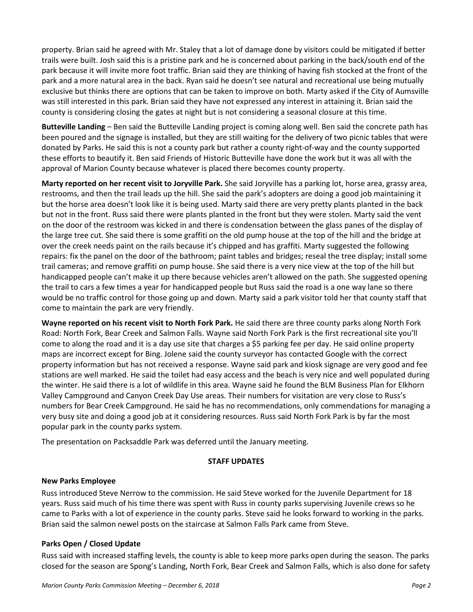property. Brian said he agreed with Mr. Staley that a lot of damage done by visitors could be mitigated if better trails were built. Josh said this is a pristine park and he is concerned about parking in the back/south end of the park because it will invite more foot traffic. Brian said they are thinking of having fish stocked at the front of the park and a more natural area in the back. Ryan said he doesn't see natural and recreational use being mutually exclusive but thinks there are options that can be taken to improve on both. Marty asked if the City of Aumsville was still interested in this park. Brian said they have not expressed any interest in attaining it. Brian said the county is considering closing the gates at night but is not considering a seasonal closure at this time.

**Butteville Landing** – Ben said the Butteville Landing project is coming along well. Ben said the concrete path has been poured and the signage is installed, but they are still waiting for the delivery of two picnic tables that were donated by Parks. He said this is not a county park but rather a county right-of-way and the county supported these efforts to beautify it. Ben said Friends of Historic Butteville have done the work but it was all with the approval of Marion County because whatever is placed there becomes county property.

**Marty reported on her recent visit to Joryville Park.** She said Joryville has a parking lot, horse area, grassy area, restrooms, and then the trail leads up the hill. She said the park's adopters are doing a good job maintaining it but the horse area doesn't look like it is being used. Marty said there are very pretty plants planted in the back but not in the front. Russ said there were plants planted in the front but they were stolen. Marty said the vent on the door of the restroom was kicked in and there is condensation between the glass panes of the display of the large tree cut. She said there is some graffiti on the old pump house at the top of the hill and the bridge at over the creek needs paint on the rails because it's chipped and has graffiti. Marty suggested the following repairs: fix the panel on the door of the bathroom; paint tables and bridges; reseal the tree display; install some trail cameras; and remove graffiti on pump house. She said there is a very nice view at the top of the hill but handicapped people can't make it up there because vehicles aren't allowed on the path. She suggested opening the trail to cars a few times a year for handicapped people but Russ said the road is a one way lane so there would be no traffic control for those going up and down. Marty said a park visitor told her that county staff that come to maintain the park are very friendly.

**Wayne reported on his recent visit to North Fork Park.** He said there are three county parks along North Fork Road: North Fork, Bear Creek and Salmon Falls. Wayne said North Fork Park is the first recreational site you'll come to along the road and it is a day use site that charges a \$5 parking fee per day. He said online property maps are incorrect except for Bing. Jolene said the county surveyor has contacted Google with the correct property information but has not received a response. Wayne said park and kiosk signage are very good and fee stations are well marked. He said the toilet had easy access and the beach is very nice and well populated during the winter. He said there is a lot of wildlife in this area. Wayne said he found the BLM Business Plan for Elkhorn Valley Campground and Canyon Creek Day Use areas. Their numbers for visitation are very close to Russ's numbers for Bear Creek Campground. He said he has no recommendations, only commendations for managing a very busy site and doing a good job at it considering resources. Russ said North Fork Park is by far the most popular park in the county parks system.

The presentation on Packsaddle Park was deferred until the January meeting.

# **STAFF UPDATES**

# **New Parks Employee**

Russ introduced Steve Nerrow to the commission. He said Steve worked for the Juvenile Department for 18 years. Russ said much of his time there was spent with Russ in county parks supervising Juvenile crews so he came to Parks with a lot of experience in the county parks. Steve said he looks forward to working in the parks. Brian said the salmon newel posts on the staircase at Salmon Falls Park came from Steve.

# **Parks Open / Closed Update**

Russ said with increased staffing levels, the county is able to keep more parks open during the season. The parks closed for the season are Spong's Landing, North Fork, Bear Creek and Salmon Falls, which is also done for safety